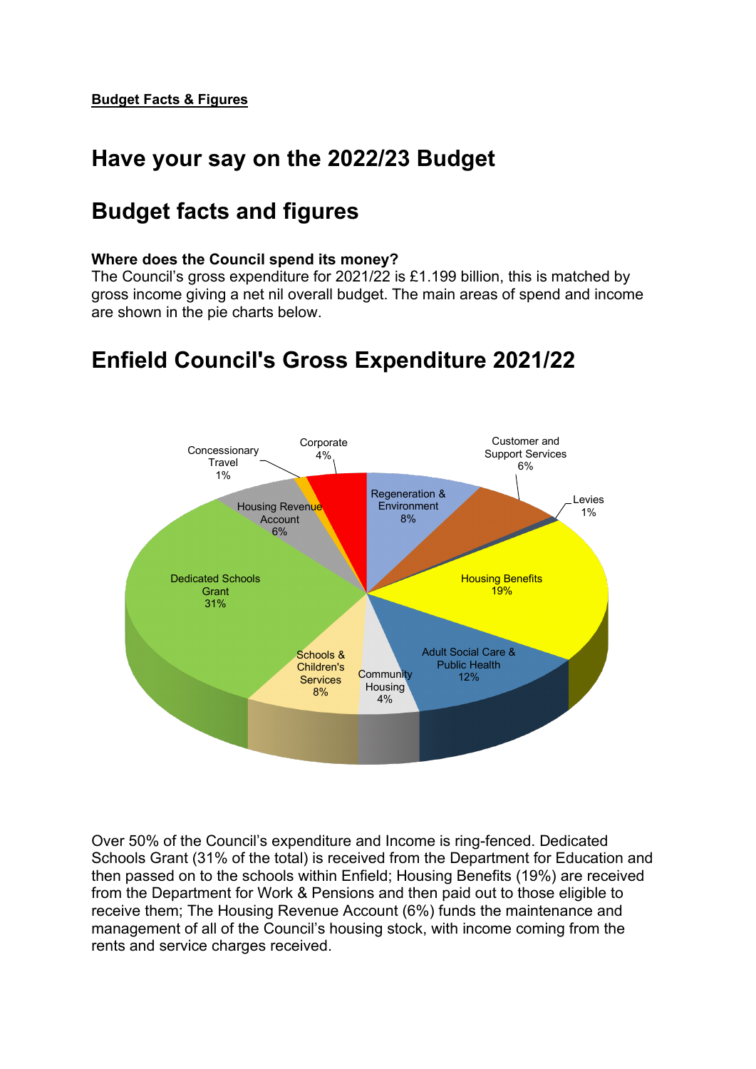## **Have your say on the 2022/23 Budget**

## **Budget facts and figures**

### **Where does the Council spend its money?**

The Council's gross expenditure for 2021/22 is £1.199 billion, this is matched by gross income giving a net nil overall budget. The main areas of spend and income are shown in the pie charts below.

# **Enfield Council's Gross Expenditure 2021/22**



Over 50% of the Council's expenditure and Income is ring-fenced. Dedicated Schools Grant (31% of the total) is received from the Department for Education and then passed on to the schools within Enfield; Housing Benefits (19%) are received from the Department for Work & Pensions and then paid out to those eligible to receive them; The Housing Revenue Account (6%) funds the maintenance and management of all of the Council's housing stock, with income coming from the rents and service charges received.